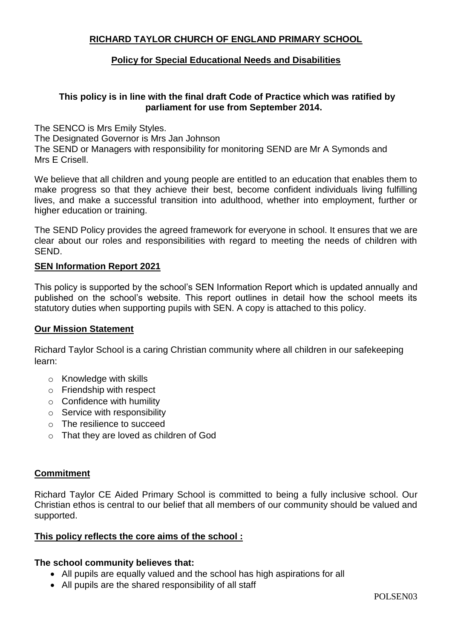# **RICHARD TAYLOR CHURCH OF ENGLAND PRIMARY SCHOOL**

### **Policy for Special Educational Needs and Disabilities**

### **This policy is in line with the final draft Code of Practice which was ratified by parliament for use from September 2014.**

The SENCO is Mrs Emily Styles.

The Designated Governor is Mrs Jan Johnson

The SEND or Managers with responsibility for monitoring SEND are Mr A Symonds and Mrs E Crisell.

We believe that all children and young people are entitled to an education that enables them to make progress so that they achieve their best, become confident individuals living fulfilling lives, and make a successful transition into adulthood, whether into employment, further or higher education or training.

The SEND Policy provides the agreed framework for everyone in school. It ensures that we are clear about our roles and responsibilities with regard to meeting the needs of children with SEND.

### **SEN Information Report 2021**

This policy is supported by the school's SEN Information Report which is updated annually and published on the school's website. This report outlines in detail how the school meets its statutory duties when supporting pupils with SEN. A copy is attached to this policy.

#### **Our Mission Statement**

Richard Taylor School is a caring Christian community where all children in our safekeeping learn:

- o Knowledge with skills
- o Friendship with respect
- o Confidence with humility
- $\circ$  Service with responsibility
- o The resilience to succeed
- o That they are loved as children of God

### **Commitment**

Richard Taylor CE Aided Primary School is committed to being a fully inclusive school. Our Christian ethos is central to our belief that all members of our community should be valued and supported.

#### **This policy reflects the core aims of the school :**

# **The school community believes that:**

- All pupils are equally valued and the school has high aspirations for all
- All pupils are the shared responsibility of all staff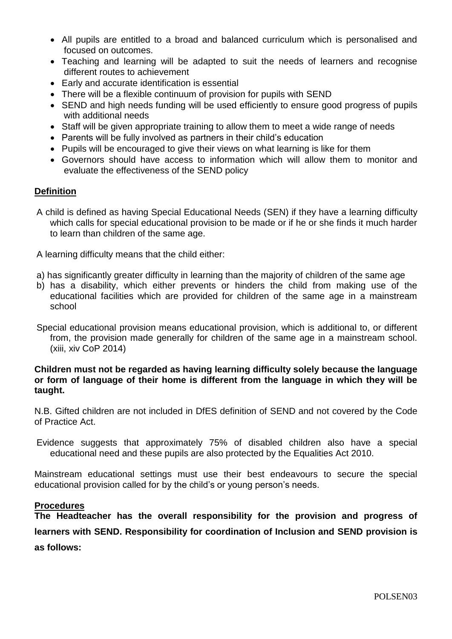- All pupils are entitled to a broad and balanced curriculum which is personalised and focused on outcomes.
- Teaching and learning will be adapted to suit the needs of learners and recognise different routes to achievement
- Early and accurate identification is essential
- There will be a flexible continuum of provision for pupils with SEND
- SEND and high needs funding will be used efficiently to ensure good progress of pupils with additional needs
- Staff will be given appropriate training to allow them to meet a wide range of needs
- Parents will be fully involved as partners in their child's education
- Pupils will be encouraged to give their views on what learning is like for them
- Governors should have access to information which will allow them to monitor and evaluate the effectiveness of the SEND policy

# **Definition**

A child is defined as having Special Educational Needs (SEN) if they have a learning difficulty which calls for special educational provision to be made or if he or she finds it much harder to learn than children of the same age.

A learning difficulty means that the child either:

- a) has significantly greater difficulty in learning than the majority of children of the same age
- b) has a disability, which either prevents or hinders the child from making use of the educational facilities which are provided for children of the same age in a mainstream school
- Special educational provision means educational provision, which is additional to, or different from, the provision made generally for children of the same age in a mainstream school. (xiii, xiv CoP 2014)

#### **Children must not be regarded as having learning difficulty solely because the language or form of language of their home is different from the language in which they will be taught.**

N.B. Gifted children are not included in DfES definition of SEND and not covered by the Code of Practice Act.

Evidence suggests that approximately 75% of disabled children also have a special educational need and these pupils are also protected by the Equalities Act 2010.

Mainstream educational settings must use their best endeavours to secure the special educational provision called for by the child's or young person's needs.

#### **Procedures**

**The Headteacher has the overall responsibility for the provision and progress of learners with SEND. Responsibility for coordination of Inclusion and SEND provision is as follows:**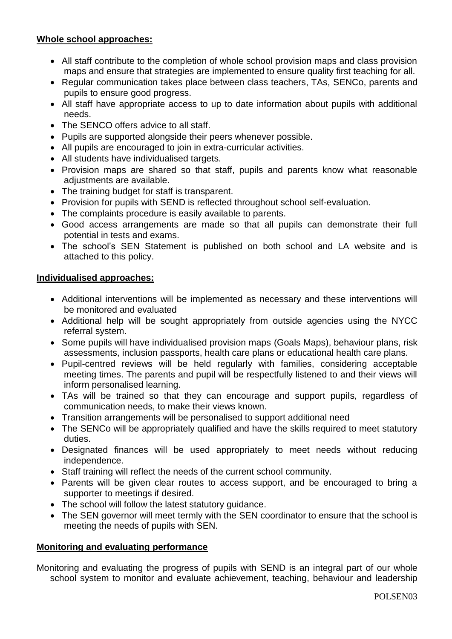# **Whole school approaches:**

- All staff contribute to the completion of whole school provision maps and class provision maps and ensure that strategies are implemented to ensure quality first teaching for all.
- Regular communication takes place between class teachers, TAs, SENCo, parents and pupils to ensure good progress.
- All staff have appropriate access to up to date information about pupils with additional needs.
- The SENCO offers advice to all staff.
- Pupils are supported alongside their peers whenever possible.
- All pupils are encouraged to join in extra-curricular activities.
- All students have individualised targets.
- Provision maps are shared so that staff, pupils and parents know what reasonable adiustments are available.
- The training budget for staff is transparent.
- Provision for pupils with SEND is reflected throughout school self-evaluation.
- The complaints procedure is easily available to parents.
- Good access arrangements are made so that all pupils can demonstrate their full potential in tests and exams.
- The school's SEN Statement is published on both school and LA website and is attached to this policy.

# **Individualised approaches:**

- Additional interventions will be implemented as necessary and these interventions will be monitored and evaluated
- Additional help will be sought appropriately from outside agencies using the NYCC referral system.
- Some pupils will have individualised provision maps (Goals Maps), behaviour plans, risk assessments, inclusion passports, health care plans or educational health care plans.
- Pupil-centred reviews will be held regularly with families, considering acceptable meeting times. The parents and pupil will be respectfully listened to and their views will inform personalised learning.
- TAs will be trained so that they can encourage and support pupils, regardless of communication needs, to make their views known.
- Transition arrangements will be personalised to support additional need
- The SENCo will be appropriately qualified and have the skills required to meet statutory duties.
- Designated finances will be used appropriately to meet needs without reducing independence.
- Staff training will reflect the needs of the current school community.
- Parents will be given clear routes to access support, and be encouraged to bring a supporter to meetings if desired.
- The school will follow the latest statutory guidance.
- The SEN governor will meet termly with the SEN coordinator to ensure that the school is meeting the needs of pupils with SEN.

# **Monitoring and evaluating performance**

Monitoring and evaluating the progress of pupils with SEND is an integral part of our whole school system to monitor and evaluate achievement, teaching, behaviour and leadership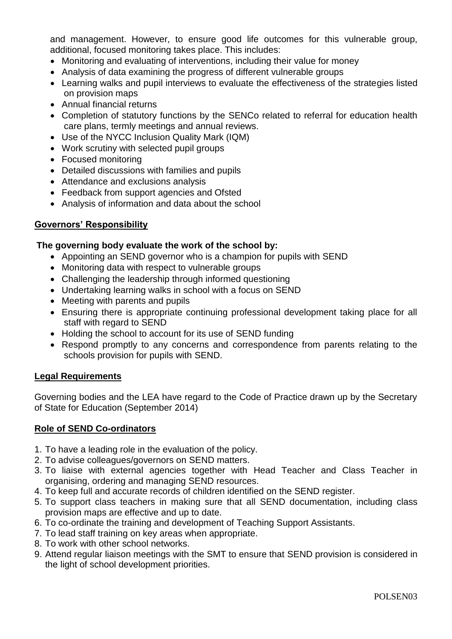and management. However, to ensure good life outcomes for this vulnerable group, additional, focused monitoring takes place. This includes:

- Monitoring and evaluating of interventions, including their value for money
- Analysis of data examining the progress of different vulnerable groups
- Learning walks and pupil interviews to evaluate the effectiveness of the strategies listed on provision maps
- Annual financial returns
- Completion of statutory functions by the SENCo related to referral for education health care plans, termly meetings and annual reviews.
- Use of the NYCC Inclusion Quality Mark (IQM)
- Work scrutiny with selected pupil groups
- Focused monitoring
- Detailed discussions with families and pupils
- Attendance and exclusions analysis
- Feedback from support agencies and Ofsted
- Analysis of information and data about the school

# **Governors' Responsibility**

# **The governing body evaluate the work of the school by:**

- Appointing an SEND governor who is a champion for pupils with SEND
- Monitoring data with respect to vulnerable groups
- Challenging the leadership through informed questioning
- Undertaking learning walks in school with a focus on SEND
- Meeting with parents and pupils
- Ensuring there is appropriate continuing professional development taking place for all staff with regard to SEND
- Holding the school to account for its use of SEND funding
- Respond promptly to any concerns and correspondence from parents relating to the schools provision for pupils with SEND.

# **Legal Requirements**

Governing bodies and the LEA have regard to the Code of Practice drawn up by the Secretary of State for Education (September 2014)

# **Role of SEND Co-ordinators**

- 1. To have a leading role in the evaluation of the policy.
- 2. To advise colleagues/governors on SEND matters.
- 3. To liaise with external agencies together with Head Teacher and Class Teacher in organising, ordering and managing SEND resources.
- 4. To keep full and accurate records of children identified on the SEND register.
- 5. To support class teachers in making sure that all SEND documentation, including class provision maps are effective and up to date.
- 6. To co-ordinate the training and development of Teaching Support Assistants.
- 7. To lead staff training on key areas when appropriate.
- 8. To work with other school networks.
- 9. Attend regular liaison meetings with the SMT to ensure that SEND provision is considered in the light of school development priorities.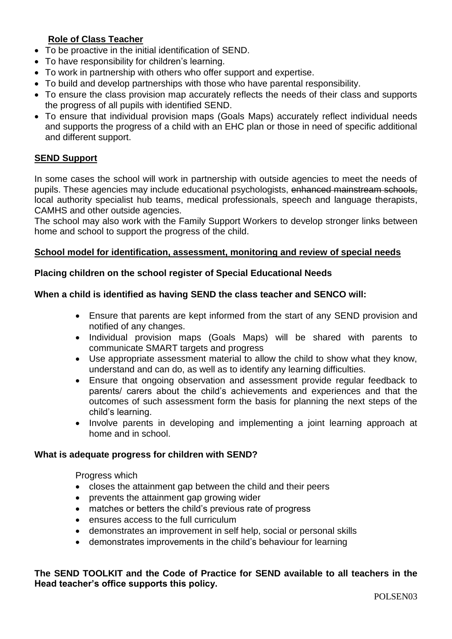# **Role of Class Teacher**

- To be proactive in the initial identification of SEND.
- To have responsibility for children's learning.
- To work in partnership with others who offer support and expertise.
- To build and develop partnerships with those who have parental responsibility.
- To ensure the class provision map accurately reflects the needs of their class and supports the progress of all pupils with identified SEND.
- To ensure that individual provision maps (Goals Maps) accurately reflect individual needs and supports the progress of a child with an EHC plan or those in need of specific additional and different support.

# **SEND Support**

In some cases the school will work in partnership with outside agencies to meet the needs of pupils. These agencies may include educational psychologists, enhanced mainstream schools, local authority specialist hub teams, medical professionals, speech and language therapists, CAMHS and other outside agencies.

The school may also work with the Family Support Workers to develop stronger links between home and school to support the progress of the child.

# **School model for identification, assessment, monitoring and review of special needs**

# **Placing children on the school register of Special Educational Needs**

# **When a child is identified as having SEND the class teacher and SENCO will:**

- Ensure that parents are kept informed from the start of any SEND provision and notified of any changes.
- Individual provision maps (Goals Maps) will be shared with parents to communicate SMART targets and progress
- Use appropriate assessment material to allow the child to show what they know, understand and can do, as well as to identify any learning difficulties.
- Ensure that ongoing observation and assessment provide regular feedback to parents/ carers about the child's achievements and experiences and that the outcomes of such assessment form the basis for planning the next steps of the child's learning.
- Involve parents in developing and implementing a joint learning approach at home and in school.

# **What is adequate progress for children with SEND?**

Progress which

- closes the attainment gap between the child and their peers
- prevents the attainment gap growing wider
- matches or betters the child's previous rate of progress
- ensures access to the full curriculum
- demonstrates an improvement in self help, social or personal skills
- demonstrates improvements in the child's behaviour for learning

# **The SEND TOOLKIT and the Code of Practice for SEND available to all teachers in the Head teacher's office supports this policy.**